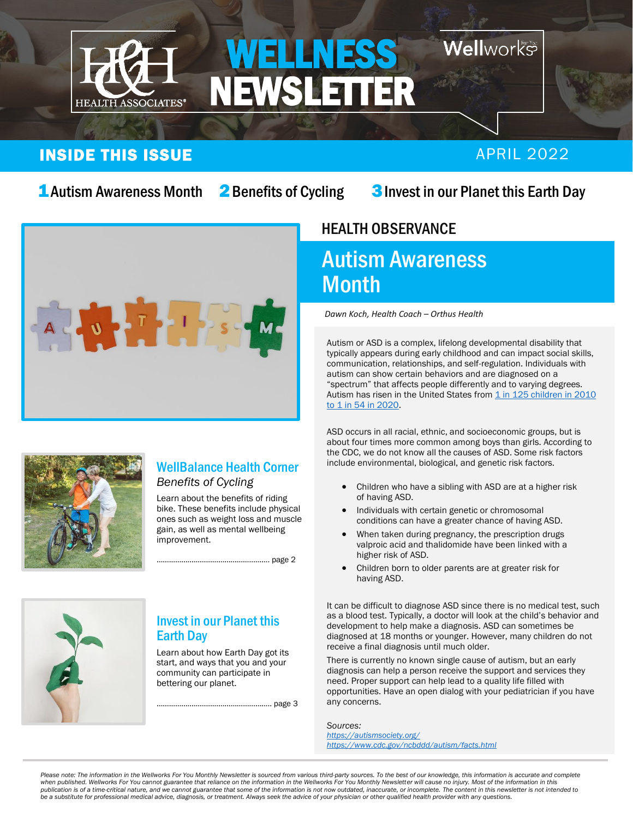

# Wellworks

## INSIDE THIS ISSUE APRIL 2022

2 Benefits of Cycling

## **1** Autism Awareness Month 2 Benefits of Cycling 3 Invest in our Planet this Earth Day



### HEALTH OBSERVANCE  $\overline{c}$

# Autism Awareness **Month**

*Dawn Koch, Health Coach – Orthus Health*

Autism or ASD is a complex, lifelong developmental disability that typically appears during early childhood and can impact social skills, communication, relationships, and self-regulation. Individuals with autism can show certain behaviors and are diagnosed on a "spectrum" that affects people differently and to varying degrees. Autism has risen in the United States from  $1$  in  $125$  children in  $2010$ [to 1 in 54 in 2020.](https://www.autism-society.org/news/autism-society-of-america-position-statement-on-the-state-of-the-science-in-causes-of-autism/)

ASD occurs in all racial, ethnic, and socioeconomic groups, but is about four times more common among boys than girls. According to the CDC, we do not know all the causes of ASD. Some risk factors include environmental, biological, and genetic risk factors.

- Children who have a sibling with ASD are at a higher risk of having ASD.
- Individuals with certain genetic or chromosomal conditions can have a greater chance of having ASD.
- When taken during pregnancy, the prescription drugs valproic acid and thalidomide have been linked with a higher risk of ASD.
- Children born to older parents are at greater risk for having ASD.

It can be difficult to diagnose ASD since there is no medical test, such as a blood test. Typically, a doctor will look at the child's behavior and development to help make a diagnosis. ASD can sometimes be diagnosed at 18 months or younger. However, many children do not receive a final diagnosis until much older.

There is currently no known single cause of autism, but an early diagnosis can help a person receive the support and services they need. Proper support can help lead to a quality life filled with opportunities. Have an open dialog with your pediatrician if you have any concerns.

*Sources: <https://autismsociety.org/> <https://www.cdc.gov/ncbddd/autism/facts.html>*

#### WellBalance Health Corner *Benefits of Cycling*

Learn about the benefits of riding bike. These benefits include physical ones such as weight loss and muscle gain, as well as mental wellbeing improvement.

………………………………………………. page 2



### Invest in our Planet this Earth Day

Learn about how Earth Day got its start, and ways that you and your community can participate in bettering our planet.

……………………………………………….. page 3

Please note: The information in the Wellworks For You Monthly Newsletter is sourced from various third-party sources. To the best of our knowledge, this information is accurate and complete *when published. Wellworks For You cannot guarantee that reliance on the information in the Wellworks For You Monthly Newsletter will cause no injury. Most of the information in this*  publication is of a time-critical nature, and we cannot guarantee that some of the information is not now outdated, inaccurate, or incomplete. The content in this newsletter is not intended to<br>be a substitute for professio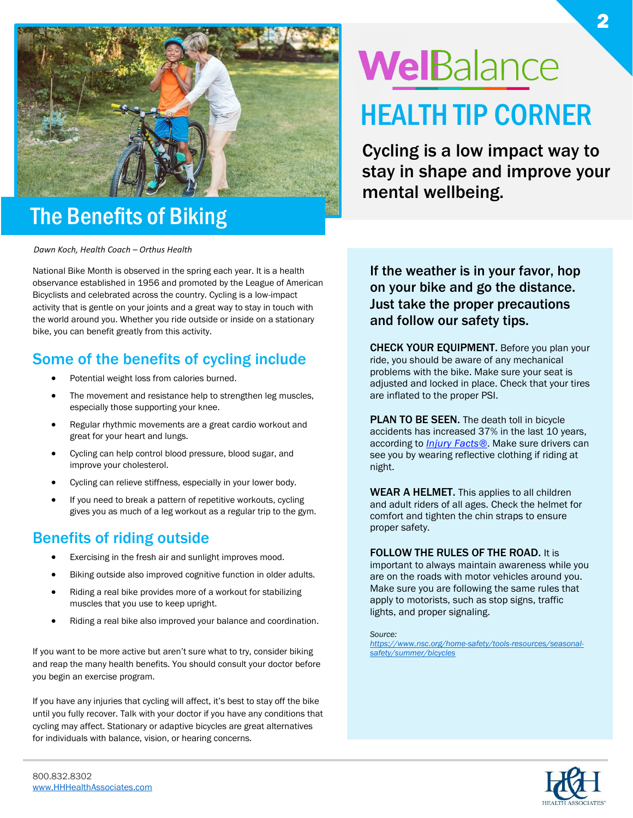

# The Benefits of Biking

*Dawn Koch, Health Coach – Orthus Health*

National Bike Month is observed in the spring each year. It is a health observance established in 1956 and promoted by the League of American Bicyclists and celebrated across the country. Cycling is a low-impact activity that is gentle on your joints and a great way to stay in touch with the world around you. Whether you ride outside or inside on a stationary bike, you can benefit greatly from this activity.

# Some of the benefits of cycling include

- Potential weight loss from calories burned.
- The movement and resistance help to strengthen leg muscles, especially those supporting your knee.
- Regular rhythmic movements are a great cardio workout and great for your heart and lungs.
- Cycling can help control blood pressure, blood sugar, and improve your cholesterol.
- Cycling can relieve stiffness, especially in your lower body.
- If you need to break a pattern of repetitive workouts, cycling gives you as much of a leg workout as a regular trip to the gym.

## Benefits of riding outside

- Exercising in the fresh air and sunlight improves mood.
- Biking outside also improved cognitive function in older adults.
- Riding a real bike provides more of a workout for stabilizing muscles that you use to keep upright.
- Riding a real bike also improved your balance and coordination.

If you want to be more active but aren't sure what to try, consider biking and reap the many health benefits. You should consult your doctor before you begin an exercise program.

If you have any injuries that cycling will affect, it's best to stay off the bike until you fully recover. Talk with your doctor if you have any conditions that cycling may affect. Stationary or adaptive bicycles are great alternatives for individuals with balance, vision, or hearing concerns.

# WelBalance HEALTH TIP CORNER

Cycling is a low impact way to stay in shape and improve your mental wellbeing.

If the weather is in your favor, hop on your bike and go the distance. Just take the proper precautions and follow our safety tips.

CHECK YOUR EQUIPMENT. Before you plan your ride, you should be aware of any mechanical problems with the bike. Make sure your seat is adjusted and locked in place. Check that your tires are inflated to the proper PSI.

PLAN TO BE SEEN. The death toll in bicycle accidents has increased 37% in the last 10 years, according to *Injury [Facts®](https://injuryfacts.nsc.org/home-and-community/safety-topics/bicycle-deaths/#_ga=2.226230937.2061482852.1646423980-1952006639.1646423980)*. Make sure drivers can see you by wearing reflective clothing if riding at night.

WEAR A HELMET. This applies to all children and adult riders of all ages. Check the helmet for comfort and tighten the chin straps to ensure proper safety.

#### FOLLOW THE RULES OF THE ROAD. It is

important to always maintain awareness while you are on the roads with motor vehicles around you. Make sure you are following the same rules that apply to motorists, such as stop signs, traffic lights, and proper signaling.

*Source:*

*[https://www.nsc.org/home-safety/tools-resources/seasonal](https://www.nsc.org/home-safety/tools-resources/seasonal-safety/summer/bicycles)[safety/summer/bicycles](https://www.nsc.org/home-safety/tools-resources/seasonal-safety/summer/bicycles)*

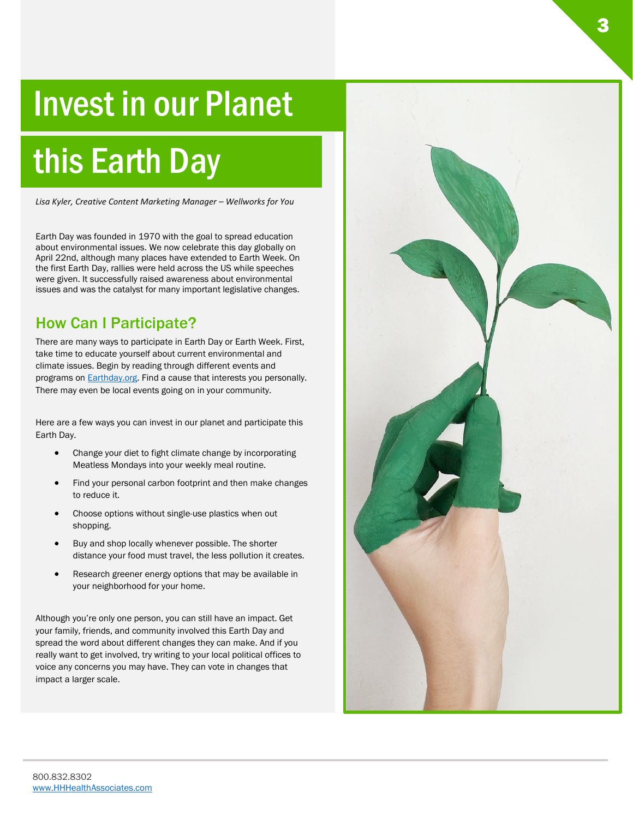# Invest in our Planet

l

# this Earth Day

*Lisa Kyler, Creative Content Marketing Manager – Wellworks for You*

Earth Day was founded in 1970 with the goal to spread education about environmental issues. We now celebrate this day globally on April 22nd, although many places have extended to Earth Week. On the first Earth Day, rallies were held across the US while speeches were given. It successfully raised awareness about environmental issues and was the catalyst for many important legislative changes.

## How Can I Participate?

There are many ways to participate in Earth Day or Earth Week. First, take time to educate yourself about current environmental and climate issues. Begin by reading through different events and programs on **Earthday.org**. Find a cause that interests you personally. There may even be local events going on in your community.

Here are a few ways you can invest in our planet and participate this Earth Day.

- Change your diet to fight climate change by incorporating Meatless Mondays into your weekly meal routine.
- Find your personal carbon footprint and then make changes to reduce it.
- Choose options without single-use plastics when out shopping.
- Buy and shop locally whenever possible. The shorter distance your food must travel, the less pollution it creates.
- Research greener energy options that may be available in your neighborhood for your home.

Although you're only one person, you can still have an impact. Get your family, friends, and community involved this Earth Day and spread the word about different changes they can make. And if you really want to get involved, try writing to your local political offices to voice any concerns you may have. They can vote in changes that impact a larger scale.